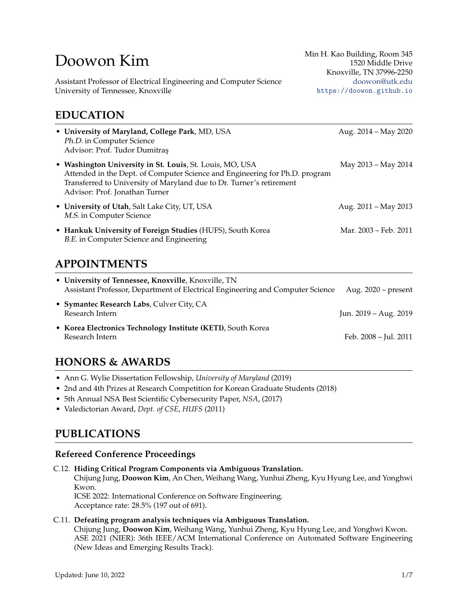# Doowon Kim

Assistant Professor of Electrical Engineering and Computer Science University of Tennessee, Knoxville

### **EDUCATION**

| EDUCATION                                                                                                                                                                                                                                         |                       |  |  |
|---------------------------------------------------------------------------------------------------------------------------------------------------------------------------------------------------------------------------------------------------|-----------------------|--|--|
| • University of Maryland, College Park, MD, USA<br>Ph.D. in Computer Science<br>Advisor: Prof. Tudor Dumitras                                                                                                                                     | Aug. 2014 - May 2020  |  |  |
| • Washington University in St. Louis, St. Louis, MO, USA<br>Attended in the Dept. of Computer Science and Engineering for Ph.D. program<br>Transferred to University of Maryland due to Dr. Turner's retirement<br>Advisor: Prof. Jonathan Turner | May 2013 – May 2014   |  |  |
| • University of Utah, Salt Lake City, UT, USA<br>M.S. in Computer Science                                                                                                                                                                         | Aug. 2011 - May 2013  |  |  |
| • Hankuk University of Foreign Studies (HUFS), South Korea<br>B.E. in Computer Science and Engineering                                                                                                                                            | Mar. 2003 – Feb. 2011 |  |  |

# **APPOINTMENTS**

| • University of Tennessee, Knoxville, Knoxville, TN<br>Assistant Professor, Department of Electrical Engineering and Computer Science | Aug. $2020$ – present |
|---------------------------------------------------------------------------------------------------------------------------------------|-----------------------|
| • Symantec Research Labs, Culver City, CA<br>Research Intern                                                                          | Jun. 2019 – Aug. 2019 |
| • Korea Electronics Technology Institute (KETI), South Korea<br>Research Intern                                                       | Feb. 2008 – Jul. 2011 |

# **HONORS & AWARDS**

- Ann G. Wylie Dissertation Fellowship, *University of Maryland* (2019)
- 2nd and 4th Prizes at Research Competition for Korean Graduate Students (2018)
- 5th Annual NSA Best Scientific Cybersecurity Paper, *NSA*, (2017)
- Valedictorian Award, *Dept. of CSE*, *HUFS* (2011)

# **PUBLICATIONS**

### **Refereed Conference Proceedings**

C.12. **Hiding Critical Program Components via Ambiguous Translation.**

Chijung Jung, **Doowon Kim**, An Chen, Weihang Wang, Yunhui Zheng, Kyu Hyung Lee, and Yonghwi Kwon.

ICSE 2022: International Conference on Software Engineering. Acceptance rate: 28.5% (197 out of 691).

#### C.11. **Defeating program analysis techniques via Ambiguous Translation.**

Chijung Jung, **Doowon Kim**, Weihang Wang, Yunhui Zheng, Kyu Hyung Lee, and Yonghwi Kwon. ASE 2021 (NIER): 36th IEEE/ACM International Conference on Automated Software Engineering (New Ideas and Emerging Results Track).

Min H. Kao Building, Room 345 1520 Middle Drive Knoxville, TN 37996-2250 [doowon@utk.edu](mailto:doowon@utk.edu) <https://doowon.github.io>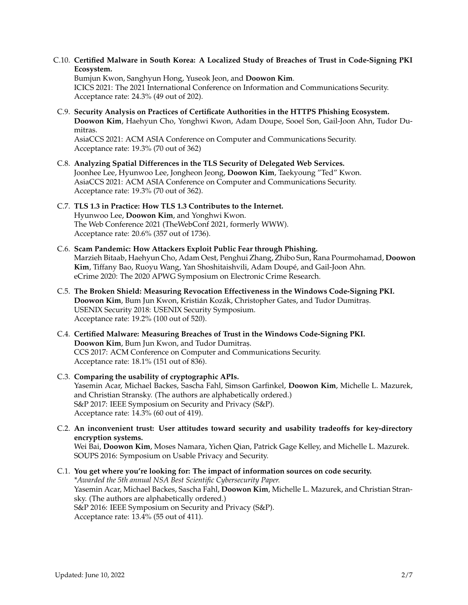C.10. **Certified Malware in South Korea: A Localized Study of Breaches of Trust in Code-Signing PKI Ecosystem.**

Bumjun Kwon, Sanghyun Hong, Yuseok Jeon, and **Doowon Kim**. ICICS 2021: The 2021 International Conference on Information and Communications Security. Acceptance rate: 24.3% (49 out of 202).

- C.9. **Security Analysis on Practices of Certificate Authorities in the HTTPS Phishing Ecosystem. Doowon Kim**, Haehyun Cho, Yonghwi Kwon, Adam Doupe, Sooel Son, Gail-Joon Ahn, Tudor Dumitras. AsiaCCS 2021: ACM ASIA Conference on Computer and Communications Security. Acceptance rate: 19.3% (70 out of 362)
- C.8. **Analyzing Spatial Differences in the TLS Security of Delegated Web Services.** Joonhee Lee, Hyunwoo Lee, Jongheon Jeong, **Doowon Kim**, Taekyoung "Ted" Kwon. AsiaCCS 2021: ACM ASIA Conference on Computer and Communications Security. Acceptance rate: 19.3% (70 out of 362).
- C.7. **TLS 1.3 in Practice: How TLS 1.3 Contributes to the Internet.** Hyunwoo Lee, **Doowon Kim**, and Yonghwi Kwon. The Web Conference 2021 (TheWebConf 2021, formerly WWW). Acceptance rate: 20.6% (357 out of 1736).
- C.6. **Scam Pandemic: How Attackers Exploit Public Fear through Phishing.** Marzieh Bitaab, Haehyun Cho, Adam Oest, Penghui Zhang, Zhibo Sun, Rana Pourmohamad, **Doowon Kim**, Tiffany Bao, Ruoyu Wang, Yan Shoshitaishvili, Adam Doupé, and Gail-Joon Ahn. eCrime 2020: The 2020 APWG Symposium on Electronic Crime Research.
- C.5. **The Broken Shield: Measuring Revocation Effectiveness in the Windows Code-Signing PKI. Doowon Kim**, Bum Jun Kwon, Kristián Kozák, Christopher Gates, and Tudor Dumitras, . USENIX Security 2018: USENIX Security Symposium. Acceptance rate: 19.2% (100 out of 520).
- C.4. **Certified Malware: Measuring Breaches of Trust in the Windows Code-Signing PKI. Doowon Kim**, Bum Jun Kwon, and Tudor Dumitraș. CCS 2017: ACM Conference on Computer and Communications Security. Acceptance rate: 18.1% (151 out of 836).
- C.3. **Comparing the usability of cryptographic APIs.** Yasemin Acar, Michael Backes, Sascha Fahl, Simson Garfinkel, **Doowon Kim**, Michelle L. Mazurek, and Christian Stransky. (The authors are alphabetically ordered.) S&P 2017: IEEE Symposium on Security and Privacy (S&P). Acceptance rate: 14.3% (60 out of 419).
- C.2. **An inconvenient trust: User attitudes toward security and usability tradeoffs for key-directory encryption systems.** Wei Bai, **Doowon Kim**, Moses Namara, Yichen Qian, Patrick Gage Kelley, and Michelle L. Mazurek. SOUPS 2016: Symposium on Usable Privacy and Security.
- C.1. **You get where you're looking for: The impact of information sources on code security.** *\*Awarded the 5th annual NSA Best Scientific Cybersecurity Paper.* Yasemin Acar, Michael Backes, Sascha Fahl, **Doowon Kim**, Michelle L. Mazurek, and Christian Stransky. (The authors are alphabetically ordered.) S&P 2016: IEEE Symposium on Security and Privacy (S&P). Acceptance rate: 13.4% (55 out of 411).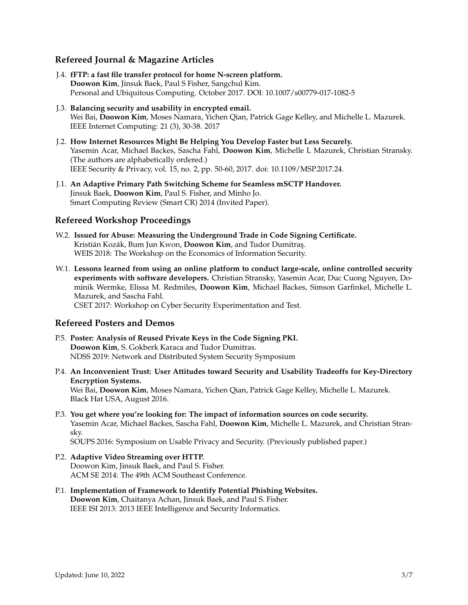### **Refereed Journal & Magazine Articles**

- J.4. **fFTP: a fast file transfer protocol for home N-screen platform. Doowon Kim**, Jinsuk Baek, Paul S Fisher, Sangchul Kim. Personal and Ubiquitous Computing. October 2017. DOI: 10.1007/s00779-017-1082-5
- J.3. **Balancing security and usability in encrypted email.** Wei Bai, **Doowon Kim**, Moses Namara, Yichen Qian, Patrick Gage Kelley, and Michelle L. Mazurek. IEEE Internet Computing: 21 (3), 30-38. 2017
- J.2. **How Internet Resources Might Be Helping You Develop Faster but Less Securely.** Yasemin Acar, Michael Backes, Sascha Fahl, **Doowon Kim**, Michelle L Mazurek, Christian Stransky. (The authors are alphabetically ordered.) IEEE Security & Privacy, vol. 15, no. 2, pp. 50-60, 2017. doi: 10.1109/MSP.2017.24.
- J.1. **An Adaptive Primary Path Switching Scheme for Seamless mSCTP Handover.** Jinsuk Baek, **Doowon Kim**, Paul S. Fisher, and Minho Jo. Smart Computing Review (Smart CR) 2014 (Invited Paper).

### **Refereed Workshop Proceedings**

- W.2. **Issued for Abuse: Measuring the Underground Trade in Code Signing Certificate.** Kristián Kozák, Bum Jun Kwon, Doowon Kim, and Tudor Dumitras. WEIS 2018: The Workshop on the Economics of Information Security.
- W.1. **Lessons learned from using an online platform to conduct large-scale, online controlled security experiments with software developers.** Christian Stransky, Yasemin Acar, Duc Cuong Nguyen, Dominik Wermke, Elissa M. Redmiles, **Doowon Kim**, Michael Backes, Simson Garfinkel, Michelle L. Mazurek, and Sascha Fahl. CSET 2017: Workshop on Cyber Security Experimentation and Test.

### **Refereed Posters and Demos**

- P.5. **Poster: Analysis of Reused Private Keys in the Code Signing PKI. Doowon Kim**, S. Gokberk Karaca and Tudor Dumitras. NDSS 2019: Network and Distributed System Security Symposium
- P.4. **An Inconvenient Trust: User Attitudes toward Security and Usability Tradeoffs for Key-Directory Encryption Systems.**

Wei Bai, **Doowon Kim**, Moses Namara, Yichen Qian, Patrick Gage Kelley, Michelle L. Mazurek. Black Hat USA, August 2016.

P.3. **You get where you're looking for: The impact of information sources on code security.** Yasemin Acar, Michael Backes, Sascha Fahl, **Doowon Kim**, Michelle L. Mazurek, and Christian Stransky.

SOUPS 2016: Symposium on Usable Privacy and Security. (Previously published paper.)

- P.2. **Adaptive Video Streaming over HTTP.** Doowon Kim, Jinsuk Baek, and Paul S. Fisher. ACM SE 2014: The 49th ACM Southeast Conference.
- P.1. **Implementation of Framework to Identify Potential Phishing Websites. Doowon Kim**, Chaitanya Achan, Jinsuk Baek, and Paul S. Fisher. IEEE ISI 2013: 2013 IEEE Intelligence and Security Informatics.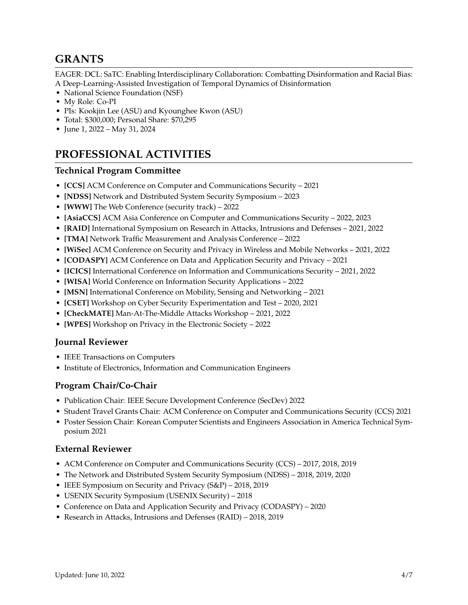## **GRANTS**

EAGER: DCL: SaTC: Enabling Interdisciplinary Collaboration: Combatting Disinformation and Racial Bias: A Deep-Learning-Assisted Investigation of Temporal Dynamics of Disinformation

- National Science Foundation (NSF)
- My Role: Co-PI
- PIs: Kookjin Lee (ASU) and Kyounghee Kwon (ASU)
- Total: \$300,000; Personal Share: \$70,295
- June 1, 2022 May 31, 2024

# **PROFESSIONAL ACTIVITIES**

#### **Technical Program Committee**

- **[CCS]** ACM Conference on Computer and Communications Security 2021
- **[NDSS]** Network and Distributed System Security Symposium 2023
- **[WWW]** The Web Conference (security track) 2022
- **[AsiaCCS]** ACM Asia Conference on Computer and Communications Security 2022, 2023
- **[RAID]** International Symposium on Research in Attacks, Intrusions and Defenses 2021, 2022
- **[TMA]** Network Traffic Measurement and Analysis Conference 2022
- **[WiSec]** ACM Conference on Security and Privacy in Wireless and Mobile Networks 2021, 2022
- **[CODASPY]** ACM Conference on Data and Application Security and Privacy 2021
- **[ICICS]** International Conference on Information and Communications Security 2021, 2022
- **[WISA]** World Conference on Information Security Applications 2022
- **[MSN]** International Conference on Mobility, Sensing and Networking 2021
- **[CSET]** Workshop on Cyber Security Experimentation and Test 2020, 2021
- **[CheckMATE]** Man-At-The-Middle Attacks Workshop 2021, 2022
- **[WPES]** Workshop on Privacy in the Electronic Society 2022

#### **Journal Reviewer**

- IEEE Transactions on Computers
- Institute of Electronics, Information and Communication Engineers

### **Program Chair/Co-Chair**

- Publication Chair: IEEE Secure Development Conference (SecDev) 2022
- Student Travel Grants Chair: ACM Conference on Computer and Communications Security (CCS) 2021
- Poster Session Chair: Korean Computer Scientists and Engineers Association in America Technical Symposium 2021

### **External Reviewer**

- ACM Conference on Computer and Communications Security (CCS) 2017, 2018, 2019
- The Network and Distributed System Security Symposium (NDSS) 2018, 2019, 2020
- IEEE Symposium on Security and Privacy (S&P) 2018, 2019
- USENIX Security Symposium (USENIX Security) 2018
- Conference on Data and Application Security and Privacy (CODASPY) 2020
- Research in Attacks, Intrusions and Defenses (RAID) 2018, 2019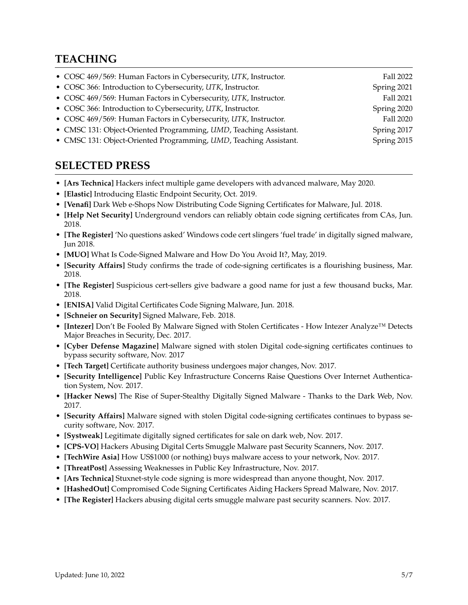# **TEACHING**

| • COSC 469/569: Human Factors in Cybersecurity, UTK, Instructor.  | Fall 2022   |
|-------------------------------------------------------------------|-------------|
| • COSC 366: Introduction to Cybersecurity, UTK, Instructor.       | Spring 2021 |
| • COSC 469/569: Human Factors in Cybersecurity, UTK, Instructor.  | Fall 2021   |
| • COSC 366: Introduction to Cybersecurity, UTK, Instructor.       | Spring 2020 |
| • COSC 469/569: Human Factors in Cybersecurity, UTK, Instructor.  | Fall 2020   |
| • CMSC 131: Object-Oriented Programming, UMD, Teaching Assistant. | Spring 2017 |
| • CMSC 131: Object-Oriented Programming, UMD, Teaching Assistant. | Spring 2015 |

## **SELECTED PRESS**

- **[Ars Technica]** Hackers infect multiple game developers with advanced malware, May 2020.
- **[Elastic]** Introducing Elastic Endpoint Security, Oct. 2019.
- **[Venafi]** Dark Web e-Shops Now Distributing Code Signing Certificates for Malware, Jul. 2018.
- **[Help Net Security]** Underground vendors can reliably obtain code signing certificates from CAs, Jun. 2018.
- **[The Register]** 'No questions asked' Windows code cert slingers 'fuel trade' in digitally signed malware, Jun 2018.
- **[MUO]** What Is Code-Signed Malware and How Do You Avoid It?, May, 2019.
- **[Security Affairs]** Study confirms the trade of code-signing certificates is a flourishing business, Mar. 2018.
- **[The Register]** Suspicious cert-sellers give badware a good name for just a few thousand bucks, Mar. 2018.
- **[ENISA]** Valid Digital Certificates Code Signing Malware, Jun. 2018.
- **[Schneier on Security]** Signed Malware, Feb. 2018.
- **[Intezer]** Don't Be Fooled By Malware Signed with Stolen Certificates How Intezer Analyze™ Detects Major Breaches in Security, Dec. 2017.
- **[Cyber Defense Magazine]** Malware signed with stolen Digital code-signing certificates continues to bypass security software, Nov. 2017
- **[Tech Target]** Certificate authority business undergoes major changes, Nov. 2017.
- **[Security Intelligence]** Public Key Infrastructure Concerns Raise Questions Over Internet Authentication System, Nov. 2017.
- **[Hacker News]** The Rise of Super-Stealthy Digitally Signed Malware Thanks to the Dark Web, Nov. 2017.
- **[Security Affairs]** Malware signed with stolen Digital code-signing certificates continues to bypass security software, Nov. 2017.
- **[Systweak]** Legitimate digitally signed certificates for sale on dark web, Nov. 2017.
- **[CPS-VO]** Hackers Abusing Digital Certs Smuggle Malware past Security Scanners, Nov. 2017.
- **[TechWire Asia]** How US\$1000 (or nothing) buys malware access to your network, Nov. 2017.
- **[ThreatPost]** Assessing Weaknesses in Public Key Infrastructure, Nov. 2017.
- **[Ars Technica]** Stuxnet-style code signing is more widespread than anyone thought, Nov. 2017.
- **[HashedOut]** Compromised Code Signing Certificates Aiding Hackers Spread Malware, Nov. 2017.
- **[The Register]** Hackers abusing digital certs smuggle malware past security scanners. Nov. 2017.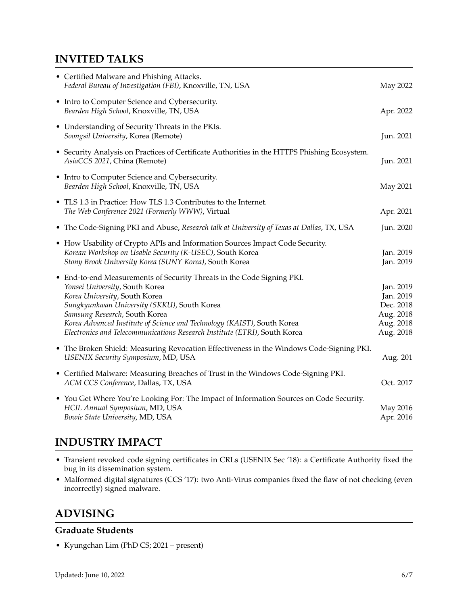# **INVITED TALKS**

| • Certified Malware and Phishing Attacks.<br>Federal Bureau of Investigation (FBI), Knoxville, TN, USA                                                                                                                                                                                                                                                                            | May 2022                                                                   |
|-----------------------------------------------------------------------------------------------------------------------------------------------------------------------------------------------------------------------------------------------------------------------------------------------------------------------------------------------------------------------------------|----------------------------------------------------------------------------|
| • Intro to Computer Science and Cybersecurity.<br>Bearden High School, Knoxville, TN, USA                                                                                                                                                                                                                                                                                         | Apr. 2022                                                                  |
| • Understanding of Security Threats in the PKIs.<br>Soongsil University, Korea (Remote)                                                                                                                                                                                                                                                                                           | Jun. 2021                                                                  |
| • Security Analysis on Practices of Certificate Authorities in the HTTPS Phishing Ecosystem.<br>AsiaCCS 2021, China (Remote)                                                                                                                                                                                                                                                      | Jun. 2021                                                                  |
| • Intro to Computer Science and Cybersecurity.<br>Bearden High School, Knoxville, TN, USA                                                                                                                                                                                                                                                                                         | May 2021                                                                   |
| • TLS 1.3 in Practice: How TLS 1.3 Contributes to the Internet.<br>The Web Conference 2021 (Formerly WWW), Virtual                                                                                                                                                                                                                                                                | Apr. 2021                                                                  |
| • The Code-Signing PKI and Abuse, Research talk at University of Texas at Dallas, TX, USA                                                                                                                                                                                                                                                                                         | Jun. 2020                                                                  |
| • How Usability of Crypto APIs and Information Sources Impact Code Security.<br>Korean Workshop on Usable Security (K-USEC), South Korea<br>Stony Brook University Korea (SUNY Korea), South Korea                                                                                                                                                                                | Jan. 2019<br>Jan. 2019                                                     |
| • End-to-end Measurements of Security Threats in the Code Signing PKI.<br>Yonsei University, South Korea<br>Korea University, South Korea<br>Sungkyunkwan University (SKKU), South Korea<br>Samsung Research, South Korea<br>Korea Advanced Institute of Science and Technology (KAIST), South Korea<br>Electronics and Telecommunications Research Institute (ETRI), South Korea | Jan. 2019<br>Jan. 2019<br>Dec. 2018<br>Aug. 2018<br>Aug. 2018<br>Aug. 2018 |
| • The Broken Shield: Measuring Revocation Effectiveness in the Windows Code-Signing PKI.<br>USENIX Security Symposium, MD, USA                                                                                                                                                                                                                                                    | Aug. 201                                                                   |
| • Certified Malware: Measuring Breaches of Trust in the Windows Code-Signing PKI.<br>ACM CCS Conference, Dallas, TX, USA                                                                                                                                                                                                                                                          | Oct. 2017                                                                  |
| • You Get Where You're Looking For: The Impact of Information Sources on Code Security.<br>HCIL Annual Symposium, MD, USA<br>Bowie State University, MD, USA                                                                                                                                                                                                                      | May 2016<br>Apr. 2016                                                      |
|                                                                                                                                                                                                                                                                                                                                                                                   |                                                                            |

# **INDUSTRY IMPACT**

- Transient revoked code signing certificates in CRLs (USENIX Sec '18): a Certificate Authority fixed the bug in its dissemination system.
- Malformed digital signatures (CCS '17): two Anti-Virus companies fixed the flaw of not checking (even incorrectly) signed malware.

# **ADVISING**

### **Graduate Students**

• Kyungchan Lim (PhD CS; 2021 – present)